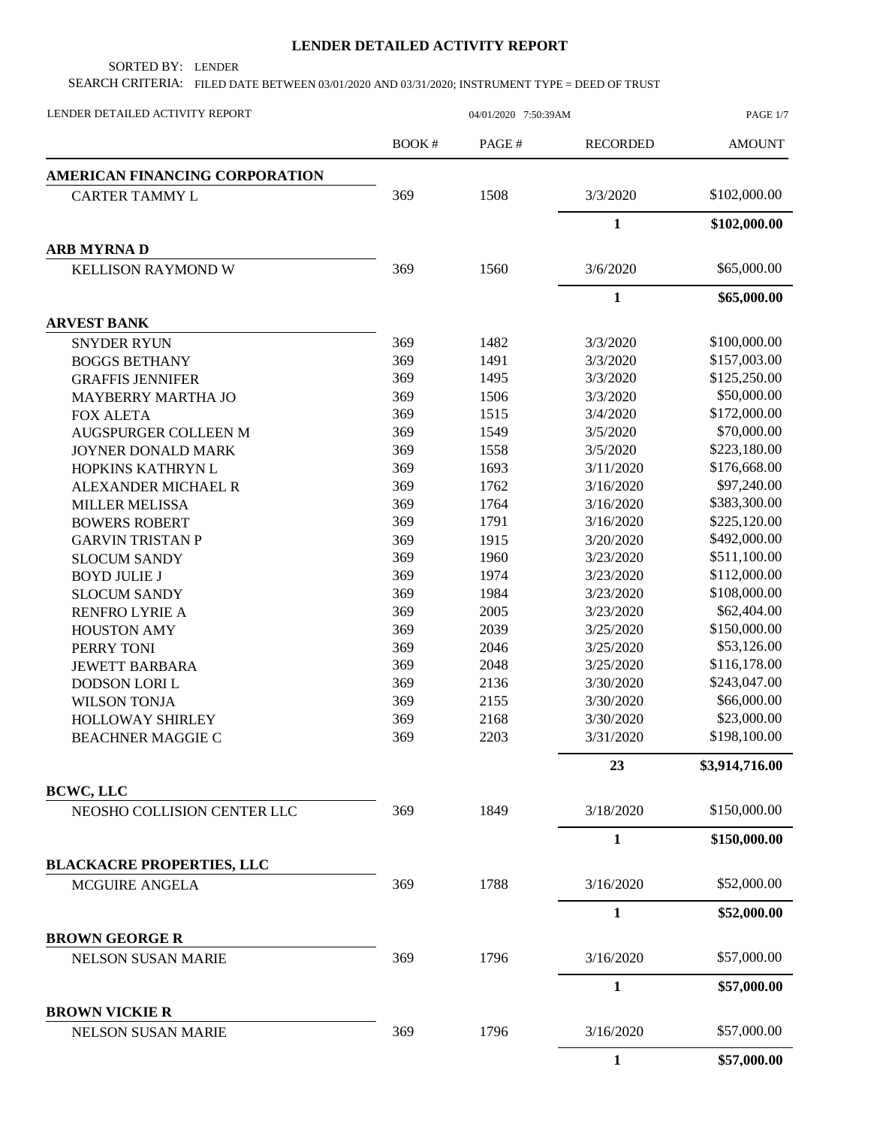## **LENDER DETAILED ACTIVITY REPORT**

SORTED BY: LENDER

SEARCH CRITERIA: FILED DATE BETWEEN 03/01/2020 AND 03/31/2020; INSTRUMENT TYPE = DEED OF TRUST

| LENDER DETAILED ACTIVITY REPORT                    | 04/01/2020 7:50:39AM |       |                 | PAGE 1/7       |  |
|----------------------------------------------------|----------------------|-------|-----------------|----------------|--|
|                                                    | <b>BOOK#</b>         | PAGE# | <b>RECORDED</b> | <b>AMOUNT</b>  |  |
| <b>AMERICAN FINANCING CORPORATION</b>              |                      |       |                 |                |  |
| <b>CARTER TAMMY L</b>                              | 369                  | 1508  | 3/3/2020        | \$102,000.00   |  |
|                                                    |                      |       | $\mathbf{1}$    | \$102,000.00   |  |
| <b>ARB MYRNAD</b>                                  |                      |       |                 |                |  |
| KELLISON RAYMOND W                                 | 369                  | 1560  | 3/6/2020        | \$65,000.00    |  |
|                                                    |                      |       | $\mathbf{1}$    | \$65,000.00    |  |
| <b>ARVEST BANK</b>                                 |                      |       |                 |                |  |
| <b>SNYDER RYUN</b>                                 | 369                  | 1482  | 3/3/2020        | \$100,000.00   |  |
| <b>BOGGS BETHANY</b>                               | 369                  | 1491  | 3/3/2020        | \$157,003.00   |  |
| <b>GRAFFIS JENNIFER</b>                            | 369                  | 1495  | 3/3/2020        | \$125,250.00   |  |
| <b>MAYBERRY MARTHA JO</b>                          | 369                  | 1506  | 3/3/2020        | \$50,000.00    |  |
| <b>FOX ALETA</b>                                   | 369                  | 1515  | 3/4/2020        | \$172,000.00   |  |
| <b>AUGSPURGER COLLEEN M</b>                        | 369                  | 1549  | 3/5/2020        | \$70,000.00    |  |
| JOYNER DONALD MARK                                 | 369                  | 1558  | 3/5/2020        | \$223,180.00   |  |
| HOPKINS KATHRYN L                                  | 369                  | 1693  | 3/11/2020       | \$176,668.00   |  |
| ALEXANDER MICHAEL R                                | 369                  | 1762  | 3/16/2020       | \$97,240.00    |  |
| <b>MILLER MELISSA</b>                              | 369                  | 1764  | 3/16/2020       | \$383,300.00   |  |
| <b>BOWERS ROBERT</b>                               | 369                  | 1791  | 3/16/2020       | \$225,120.00   |  |
| <b>GARVIN TRISTAN P</b>                            | 369                  | 1915  | 3/20/2020       | \$492,000.00   |  |
| <b>SLOCUM SANDY</b>                                | 369                  | 1960  | 3/23/2020       | \$511,100.00   |  |
| <b>BOYD JULIE J</b>                                | 369                  | 1974  | 3/23/2020       | \$112,000.00   |  |
| <b>SLOCUM SANDY</b>                                | 369                  | 1984  | 3/23/2020       | \$108,000.00   |  |
| <b>RENFRO LYRIE A</b>                              | 369                  | 2005  | 3/23/2020       | \$62,404.00    |  |
| <b>HOUSTON AMY</b>                                 | 369                  | 2039  | 3/25/2020       | \$150,000.00   |  |
| PERRY TONI                                         | 369                  | 2046  | 3/25/2020       | \$53,126.00    |  |
|                                                    | 369                  | 2048  | 3/25/2020       | \$116,178.00   |  |
| <b>JEWETT BARBARA</b>                              | 369                  | 2136  | 3/30/2020       | \$243,047.00   |  |
| DODSON LORI L                                      |                      |       |                 | \$66,000.00    |  |
| <b>WILSON TONJA</b>                                | 369                  | 2155  | 3/30/2020       |                |  |
| <b>HOLLOWAY SHIRLEY</b>                            | 369                  | 2168  | 3/30/2020       | \$23,000.00    |  |
| <b>BEACHNER MAGGIE C</b>                           | 369                  | 2203  | 3/31/2020       | \$198,100.00   |  |
|                                                    |                      |       | 23              | \$3,914,716.00 |  |
| <b>BCWC, LLC</b><br>NEOSHO COLLISION CENTER LLC    | 369                  | 1849  | 3/18/2020       | \$150,000.00   |  |
|                                                    |                      |       | $\mathbf{1}$    | \$150,000.00   |  |
| <b>BLACKACRE PROPERTIES, LLC</b>                   |                      |       |                 |                |  |
| MCGUIRE ANGELA                                     | 369                  | 1788  | 3/16/2020       | \$52,000.00    |  |
|                                                    |                      |       | $\mathbf{1}$    | \$52,000.00    |  |
| <b>BROWN GEORGE R</b>                              |                      |       |                 |                |  |
| <b>NELSON SUSAN MARIE</b>                          | 369                  | 1796  | 3/16/2020       | \$57,000.00    |  |
|                                                    |                      |       | $\mathbf{1}$    | \$57,000.00    |  |
| <b>BROWN VICKIE R</b><br><b>NELSON SUSAN MARIE</b> | 369                  | 1796  | 3/16/2020       | \$57,000.00    |  |
|                                                    |                      |       | $\mathbf{1}$    | \$57,000.00    |  |
|                                                    |                      |       |                 |                |  |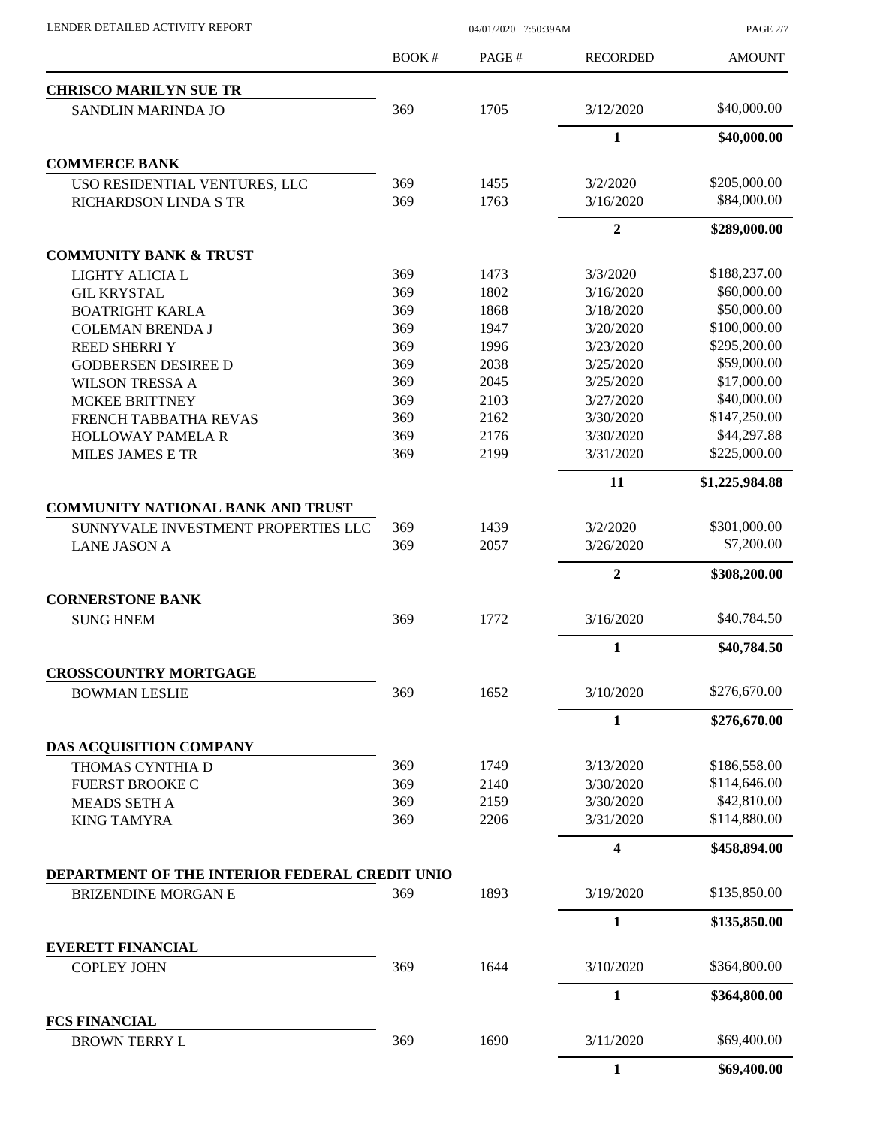| LENDER DETAILED ACTIVITY REPORT |  |
|---------------------------------|--|

04/01/2020 7:50:39AM

PAGE 2/7

|                                                | BOOK# | PAGE# | <b>RECORDED</b>         | <b>AMOUNT</b>  |
|------------------------------------------------|-------|-------|-------------------------|----------------|
| <b>CHRISCO MARILYN SUE TR</b>                  |       |       |                         |                |
| <b>SANDLIN MARINDA JO</b>                      | 369   | 1705  | 3/12/2020               | \$40,000.00    |
|                                                |       |       | $\mathbf{1}$            | \$40,000.00    |
| <b>COMMERCE BANK</b>                           |       |       |                         |                |
| USO RESIDENTIAL VENTURES, LLC                  | 369   | 1455  | 3/2/2020                | \$205,000.00   |
| RICHARDSON LINDA S TR                          | 369   | 1763  | 3/16/2020               | \$84,000.00    |
|                                                |       |       | $\overline{2}$          | \$289,000.00   |
| <b>COMMUNITY BANK &amp; TRUST</b>              |       |       |                         |                |
| LIGHTY ALICIA L                                | 369   | 1473  | 3/3/2020                | \$188,237.00   |
| <b>GIL KRYSTAL</b>                             | 369   | 1802  | 3/16/2020               | \$60,000.00    |
| <b>BOATRIGHT KARLA</b>                         | 369   | 1868  | 3/18/2020               | \$50,000.00    |
| <b>COLEMAN BRENDA J</b>                        | 369   | 1947  | 3/20/2020               | \$100,000.00   |
| <b>REED SHERRI Y</b>                           | 369   | 1996  | 3/23/2020               | \$295,200.00   |
| <b>GODBERSEN DESIREE D</b>                     | 369   | 2038  | 3/25/2020               | \$59,000.00    |
| <b>WILSON TRESSA A</b>                         | 369   | 2045  | 3/25/2020               | \$17,000.00    |
| <b>MCKEE BRITTNEY</b>                          | 369   | 2103  | 3/27/2020               | \$40,000.00    |
| FRENCH TABBATHA REVAS                          | 369   | 2162  | 3/30/2020               | \$147,250.00   |
| <b>HOLLOWAY PAMELA R</b>                       | 369   | 2176  | 3/30/2020               | \$44,297.88    |
| MILES JAMES E TR                               | 369   | 2199  | 3/31/2020               | \$225,000.00   |
|                                                |       |       | 11                      | \$1,225,984.88 |
| <b>COMMUNITY NATIONAL BANK AND TRUST</b>       |       |       |                         |                |
| SUNNYVALE INVESTMENT PROPERTIES LLC            | 369   | 1439  | 3/2/2020                | \$301,000.00   |
| <b>LANE JASON A</b>                            | 369   | 2057  | 3/26/2020               | \$7,200.00     |
|                                                |       |       | $\overline{2}$          | \$308,200.00   |
| <b>CORNERSTONE BANK</b>                        |       |       |                         |                |
| <b>SUNG HNEM</b>                               | 369   | 1772  | 3/16/2020               | \$40,784.50    |
|                                                |       |       | $\mathbf{1}$            | \$40,784.50    |
| <b>CROSSCOUNTRY MORTGAGE</b>                   | 369   | 1652  | 3/10/2020               | \$276,670.00   |
| <b>BOWMAN LESLIE</b>                           |       |       |                         |                |
|                                                |       |       | 1                       | \$276,670.00   |
| DAS ACQUISITION COMPANY                        |       |       |                         |                |
| THOMAS CYNTHIA D                               | 369   | 1749  | 3/13/2020               | \$186,558.00   |
| <b>FUERST BROOKE C</b>                         | 369   | 2140  | 3/30/2020               | \$114,646.00   |
| <b>MEADS SETH A</b>                            | 369   | 2159  | 3/30/2020               | \$42,810.00    |
| <b>KING TAMYRA</b>                             | 369   | 2206  | 3/31/2020               | \$114,880.00   |
|                                                |       |       | $\overline{\mathbf{4}}$ | \$458,894.00   |
| DEPARTMENT OF THE INTERIOR FEDERAL CREDIT UNIO |       |       |                         |                |
| BRIZENDINE MORGAN E                            | 369   | 1893  | 3/19/2020               | \$135,850.00   |
|                                                |       |       | $\mathbf{1}$            | \$135,850.00   |
| <b>EVERETT FINANCIAL</b>                       | 369   | 1644  | 3/10/2020               | \$364,800.00   |
| <b>COPLEY JOHN</b>                             |       |       |                         |                |
|                                                |       |       | 1                       | \$364,800.00   |
| <b>FCS FINANCIAL</b><br><b>BROWN TERRY L</b>   | 369   | 1690  | 3/11/2020               | \$69,400.00    |
|                                                |       |       | $\mathbf{1}$            | \$69,400.00    |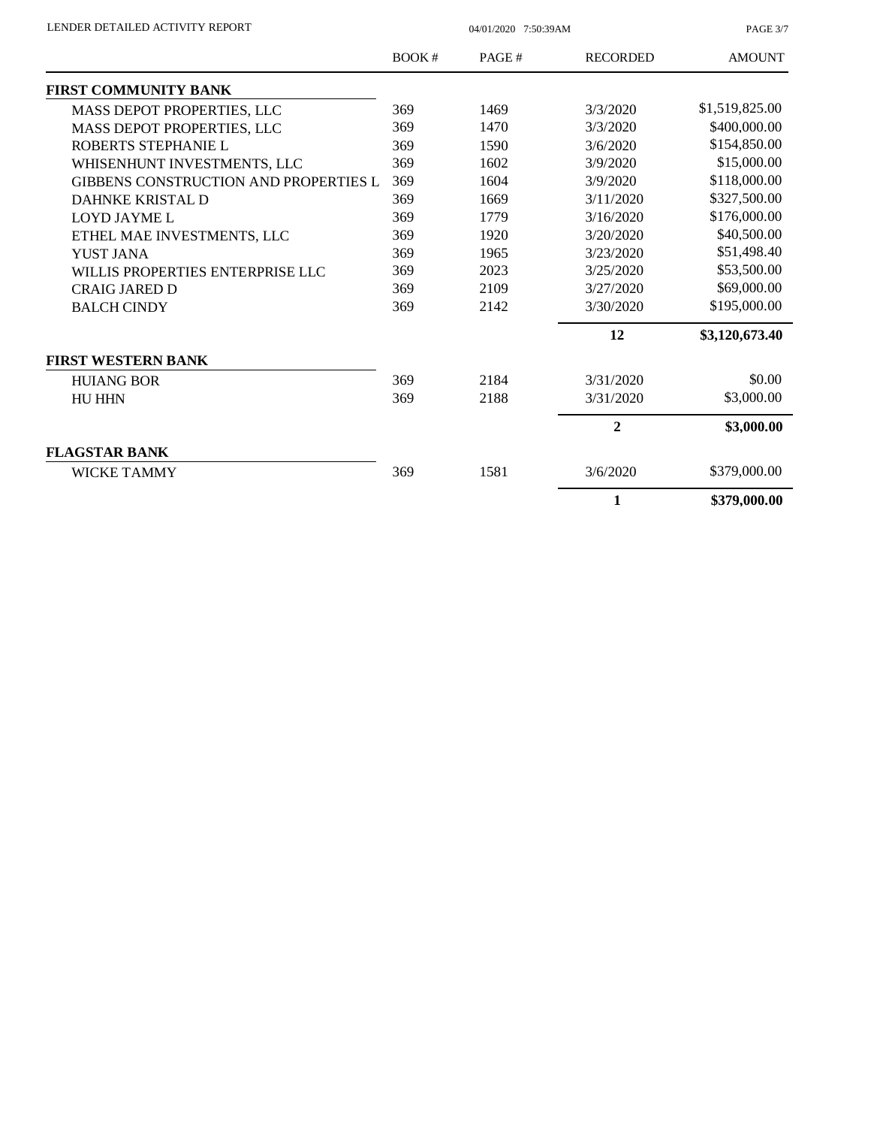| LENDER DETAILED ACTIVITY REPORT |  |
|---------------------------------|--|

04/01/2020 7:50:39AM

PAGE 3/7

|                                       | <b>BOOK#</b> | PAGE# | <b>RECORDED</b> | <b>AMOUNT</b>  |
|---------------------------------------|--------------|-------|-----------------|----------------|
| FIRST COMMUNITY BANK                  |              |       |                 |                |
| MASS DEPOT PROPERTIES, LLC            | 369          | 1469  | 3/3/2020        | \$1,519,825.00 |
| MASS DEPOT PROPERTIES, LLC            | 369          | 1470  | 3/3/2020        | \$400,000.00   |
| ROBERTS STEPHANIE L                   | 369          | 1590  | 3/6/2020        | \$154,850.00   |
| WHISENHUNT INVESTMENTS, LLC           | 369          | 1602  | 3/9/2020        | \$15,000.00    |
| GIBBENS CONSTRUCTION AND PROPERTIES L | 369          | 1604  | 3/9/2020        | \$118,000.00   |
| <b>DAHNKE KRISTAL D</b>               | 369          | 1669  | 3/11/2020       | \$327,500.00   |
| <b>LOYD JAYME L</b>                   | 369          | 1779  | 3/16/2020       | \$176,000.00   |
| ETHEL MAE INVESTMENTS, LLC            | 369          | 1920  | 3/20/2020       | \$40,500.00    |
| <b>YUST JANA</b>                      | 369          | 1965  | 3/23/2020       | \$51,498.40    |
| WILLIS PROPERTIES ENTERPRISE LLC      | 369          | 2023  | 3/25/2020       | \$53,500.00    |
| <b>CRAIG JARED D</b>                  | 369          | 2109  | 3/27/2020       | \$69,000.00    |
| <b>BALCH CINDY</b>                    | 369          | 2142  | 3/30/2020       | \$195,000.00   |
|                                       |              |       | 12              | \$3,120,673.40 |
| <b>FIRST WESTERN BANK</b>             |              |       |                 |                |
| <b>HUIANG BOR</b>                     | 369          | 2184  | 3/31/2020       | \$0.00         |
| <b>HU HHN</b>                         | 369          | 2188  | 3/31/2020       | \$3,000.00     |
|                                       |              |       | $\mathbf{2}$    | \$3,000.00     |
| <b>FLAGSTAR BANK</b>                  |              |       |                 |                |
| <b>WICKE TAMMY</b>                    | 369          | 1581  | 3/6/2020        | \$379,000.00   |
|                                       |              |       | 1               | \$379,000.00   |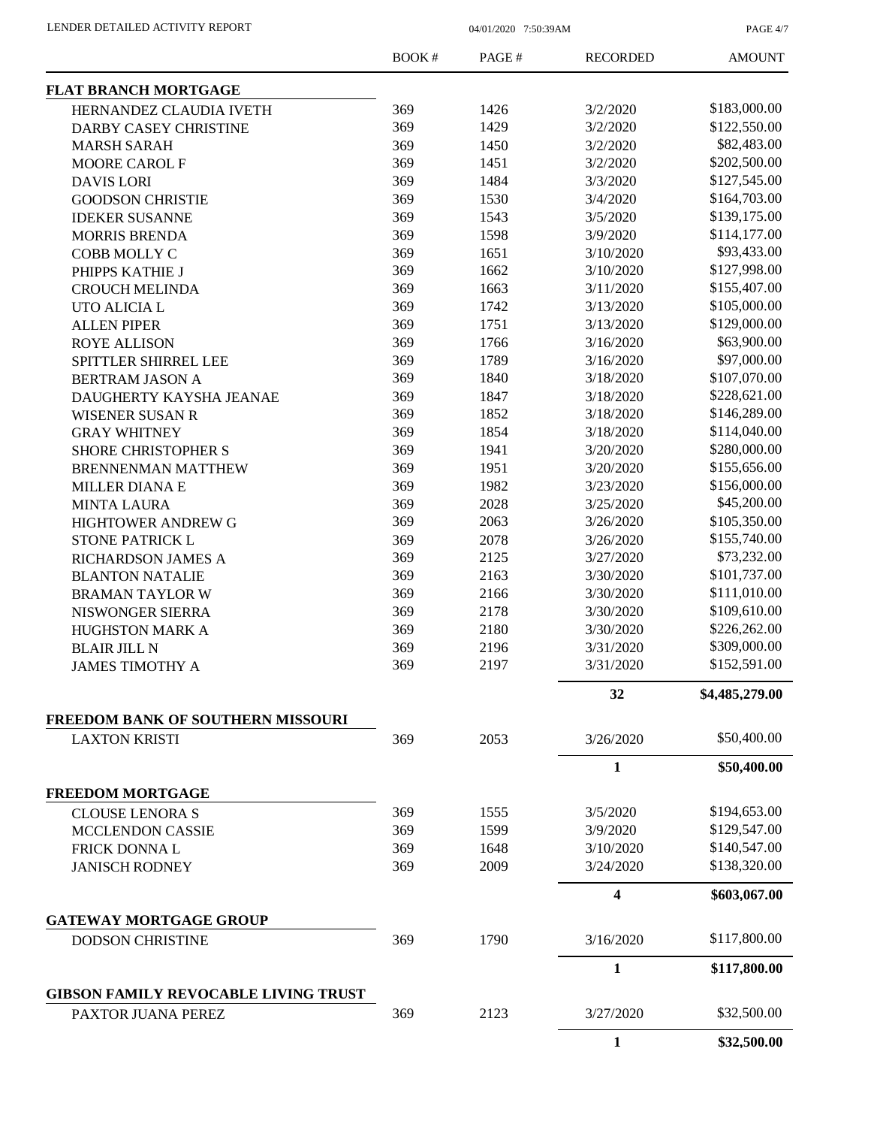PAGE 4/7

|                                                           | <b>BOOK#</b> | PAGE# | <b>RECORDED</b> | <b>AMOUNT</b>  |
|-----------------------------------------------------------|--------------|-------|-----------------|----------------|
| <b>FLAT BRANCH MORTGAGE</b>                               |              |       |                 |                |
| HERNANDEZ CLAUDIA IVETH                                   | 369          | 1426  | 3/2/2020        | \$183,000.00   |
| DARBY CASEY CHRISTINE                                     | 369          | 1429  | 3/2/2020        | \$122,550.00   |
| <b>MARSH SARAH</b>                                        | 369          | 1450  | 3/2/2020        | \$82,483.00    |
| MOORE CAROL F                                             | 369          | 1451  | 3/2/2020        | \$202,500.00   |
| <b>DAVIS LORI</b>                                         | 369          | 1484  | 3/3/2020        | \$127,545.00   |
| <b>GOODSON CHRISTIE</b>                                   | 369          | 1530  | 3/4/2020        | \$164,703.00   |
| <b>IDEKER SUSANNE</b>                                     | 369          | 1543  | 3/5/2020        | \$139,175.00   |
| <b>MORRIS BRENDA</b>                                      | 369          | 1598  | 3/9/2020        | \$114,177.00   |
| COBB MOLLY C                                              | 369          | 1651  | 3/10/2020       | \$93,433.00    |
| PHIPPS KATHIE J                                           | 369          | 1662  | 3/10/2020       | \$127,998.00   |
| <b>CROUCH MELINDA</b>                                     | 369          | 1663  | 3/11/2020       | \$155,407.00   |
| UTO ALICIA L                                              | 369          | 1742  | 3/13/2020       | \$105,000.00   |
| <b>ALLEN PIPER</b>                                        | 369          | 1751  | 3/13/2020       | \$129,000.00   |
| <b>ROYE ALLISON</b>                                       | 369          | 1766  | 3/16/2020       | \$63,900.00    |
| SPITTLER SHIRREL LEE                                      | 369          | 1789  | 3/16/2020       | \$97,000.00    |
| BERTRAM JASON A                                           | 369          | 1840  | 3/18/2020       | \$107,070.00   |
| DAUGHERTY KAYSHA JEANAE                                   | 369          | 1847  | 3/18/2020       | \$228,621.00   |
| <b>WISENER SUSAN R</b>                                    | 369          | 1852  | 3/18/2020       | \$146,289.00   |
| <b>GRAY WHITNEY</b>                                       | 369          | 1854  | 3/18/2020       | \$114,040.00   |
| <b>SHORE CHRISTOPHER S</b>                                | 369          | 1941  | 3/20/2020       | \$280,000.00   |
|                                                           | 369          | 1951  | 3/20/2020       | \$155,656.00   |
| <b>BRENNENMAN MATTHEW</b>                                 | 369          | 1982  | 3/23/2020       | \$156,000.00   |
| <b>MILLER DIANAE</b>                                      |              |       |                 | \$45,200.00    |
| <b>MINTA LAURA</b>                                        | 369          | 2028  | 3/25/2020       | \$105,350.00   |
| HIGHTOWER ANDREW G                                        | 369          | 2063  | 3/26/2020       |                |
| STONE PATRICK L                                           | 369          | 2078  | 3/26/2020       | \$155,740.00   |
| RICHARDSON JAMES A                                        | 369          | 2125  | 3/27/2020       | \$73,232.00    |
| <b>BLANTON NATALIE</b>                                    | 369          | 2163  | 3/30/2020       | \$101,737.00   |
| <b>BRAMAN TAYLOR W</b>                                    | 369          | 2166  | 3/30/2020       | \$111,010.00   |
| NISWONGER SIERRA                                          | 369          | 2178  | 3/30/2020       | \$109,610.00   |
| HUGHSTON MARK A                                           | 369          | 2180  | 3/30/2020       | \$226,262.00   |
| <b>BLAIR JILL N</b>                                       | 369          | 2196  | 3/31/2020       | \$309,000.00   |
| <b>JAMES TIMOTHY A</b>                                    | 369          | 2197  | 3/31/2020       | \$152,591.00   |
|                                                           |              |       | 32              | \$4,485,279.00 |
| FREEDOM BANK OF SOUTHERN MISSOURI<br><b>LAXTON KRISTI</b> | 369          | 2053  | 3/26/2020       | \$50,400.00    |
|                                                           |              |       | $\mathbf{1}$    | \$50,400.00    |
| <b>FREEDOM MORTGAGE</b>                                   |              |       |                 |                |
| <b>CLOUSE LENORA S</b>                                    | 369          | 1555  | 3/5/2020        | \$194,653.00   |
| <b>MCCLENDON CASSIE</b>                                   | 369          | 1599  | 3/9/2020        | \$129,547.00   |
| FRICK DONNA L                                             | 369          | 1648  | 3/10/2020       | \$140,547.00   |
| <b>JANISCH RODNEY</b>                                     | 369          | 2009  | 3/24/2020       | \$138,320.00   |
|                                                           |              |       | 4               | \$603,067.00   |
| <b>GATEWAY MORTGAGE GROUP</b>                             |              |       |                 |                |
| <b>DODSON CHRISTINE</b>                                   | 369          | 1790  | 3/16/2020       | \$117,800.00   |
|                                                           |              |       | $\mathbf{1}$    | \$117,800.00   |
| <b>GIBSON FAMILY REVOCABLE LIVING TRUST</b>               |              |       |                 |                |
| PAXTOR JUANA PEREZ                                        | 369          | 2123  | 3/27/2020       | \$32,500.00    |
|                                                           |              |       | $\mathbf{1}$    | \$32,500.00    |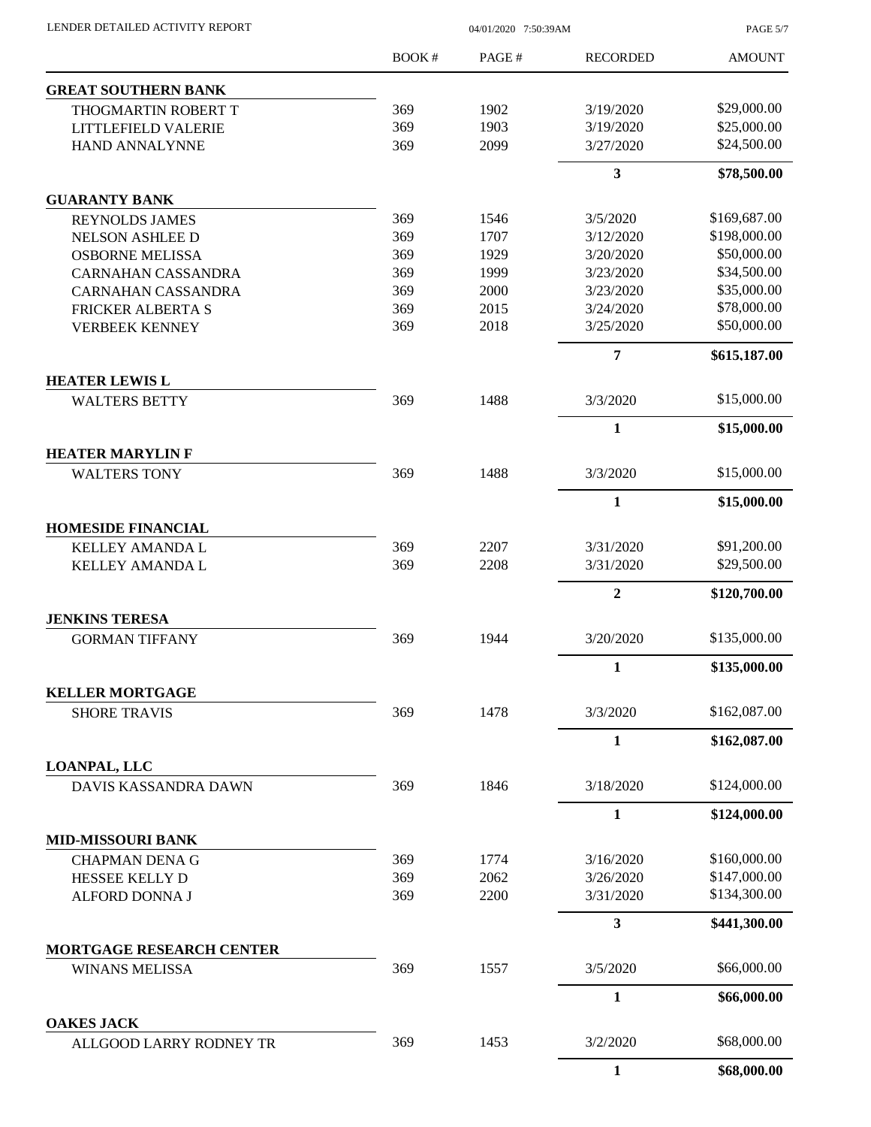| LENDER DETAILED ACTIVITY REPORT |  |
|---------------------------------|--|

04/01/2020 7:50:39AM

PAGE 5/7

|                                                | BOOK# | PAGE# | <b>RECORDED</b> | <b>AMOUNT</b> |
|------------------------------------------------|-------|-------|-----------------|---------------|
| <b>GREAT SOUTHERN BANK</b>                     |       |       |                 |               |
| THOGMARTIN ROBERT T                            | 369   | 1902  | 3/19/2020       | \$29,000.00   |
| LITTLEFIELD VALERIE                            | 369   | 1903  | 3/19/2020       | \$25,000.00   |
| HAND ANNALYNNE                                 | 369   | 2099  | 3/27/2020       | \$24,500.00   |
|                                                |       |       | 3               | \$78,500.00   |
| <b>GUARANTY BANK</b>                           |       |       |                 |               |
| <b>REYNOLDS JAMES</b>                          | 369   | 1546  | 3/5/2020        | \$169,687.00  |
| <b>NELSON ASHLEE D</b>                         | 369   | 1707  | 3/12/2020       | \$198,000.00  |
| <b>OSBORNE MELISSA</b>                         | 369   | 1929  | 3/20/2020       | \$50,000.00   |
| <b>CARNAHAN CASSANDRA</b>                      | 369   | 1999  | 3/23/2020       | \$34,500.00   |
| <b>CARNAHAN CASSANDRA</b>                      | 369   | 2000  | 3/23/2020       | \$35,000.00   |
| <b>FRICKER ALBERTA S</b>                       | 369   | 2015  | 3/24/2020       | \$78,000.00   |
| <b>VERBEEK KENNEY</b>                          | 369   | 2018  | 3/25/2020       | \$50,000.00   |
| <b>HEATER LEWIS L</b>                          |       |       | 7               | \$615,187.00  |
| <b>WALTERS BETTY</b>                           | 369   | 1488  | 3/3/2020        | \$15,000.00   |
|                                                |       |       | $\mathbf{1}$    | \$15,000.00   |
| <b>HEATER MARYLIN F</b>                        |       |       |                 |               |
| <b>WALTERS TONY</b>                            | 369   | 1488  | 3/3/2020        | \$15,000.00   |
|                                                |       |       | $\mathbf{1}$    | \$15,000.00   |
| <b>HOMESIDE FINANCIAL</b>                      |       |       |                 |               |
| <b>KELLEY AMANDA L</b>                         | 369   | 2207  | 3/31/2020       | \$91,200.00   |
| KELLEY AMANDA L                                | 369   | 2208  | 3/31/2020       | \$29,500.00   |
|                                                |       |       | $\overline{2}$  | \$120,700.00  |
| <b>JENKINS TERESA</b><br><b>GORMAN TIFFANY</b> | 369   | 1944  | 3/20/2020       | \$135,000.00  |
|                                                |       |       | $\mathbf{1}$    | \$135,000.00  |
| <b>KELLER MORTGAGE</b>                         |       |       |                 |               |
| <b>SHORE TRAVIS</b>                            | 369   | 1478  | 3/3/2020        | \$162,087.00  |
|                                                |       |       | $\mathbf{1}$    | \$162,087.00  |
| <b>LOANPAL, LLC</b>                            |       |       |                 |               |
| <b>DAVIS KASSANDRA DAWN</b>                    | 369   | 1846  | 3/18/2020       | \$124,000.00  |
|                                                |       |       | $\mathbf{1}$    | \$124,000.00  |
| <b>MID-MISSOURI BANK</b>                       |       |       |                 |               |
| <b>CHAPMAN DENA G</b>                          | 369   | 1774  | 3/16/2020       | \$160,000.00  |
| HESSEE KELLY D                                 | 369   | 2062  | 3/26/2020       | \$147,000.00  |
| ALFORD DONNA J                                 | 369   | 2200  | 3/31/2020       | \$134,300.00  |
| <b>MORTGAGE RESEARCH CENTER</b>                |       |       | 3               | \$441,300.00  |
| <b>WINANS MELISSA</b>                          | 369   | 1557  | 3/5/2020        | \$66,000.00   |
|                                                |       |       | $\mathbf{1}$    | \$66,000.00   |
| <b>OAKES JACK</b>                              |       |       |                 |               |
| ALLGOOD LARRY RODNEY TR                        | 369   | 1453  | 3/2/2020        | \$68,000.00   |
|                                                |       |       | $\mathbf{1}$    | \$68,000.00   |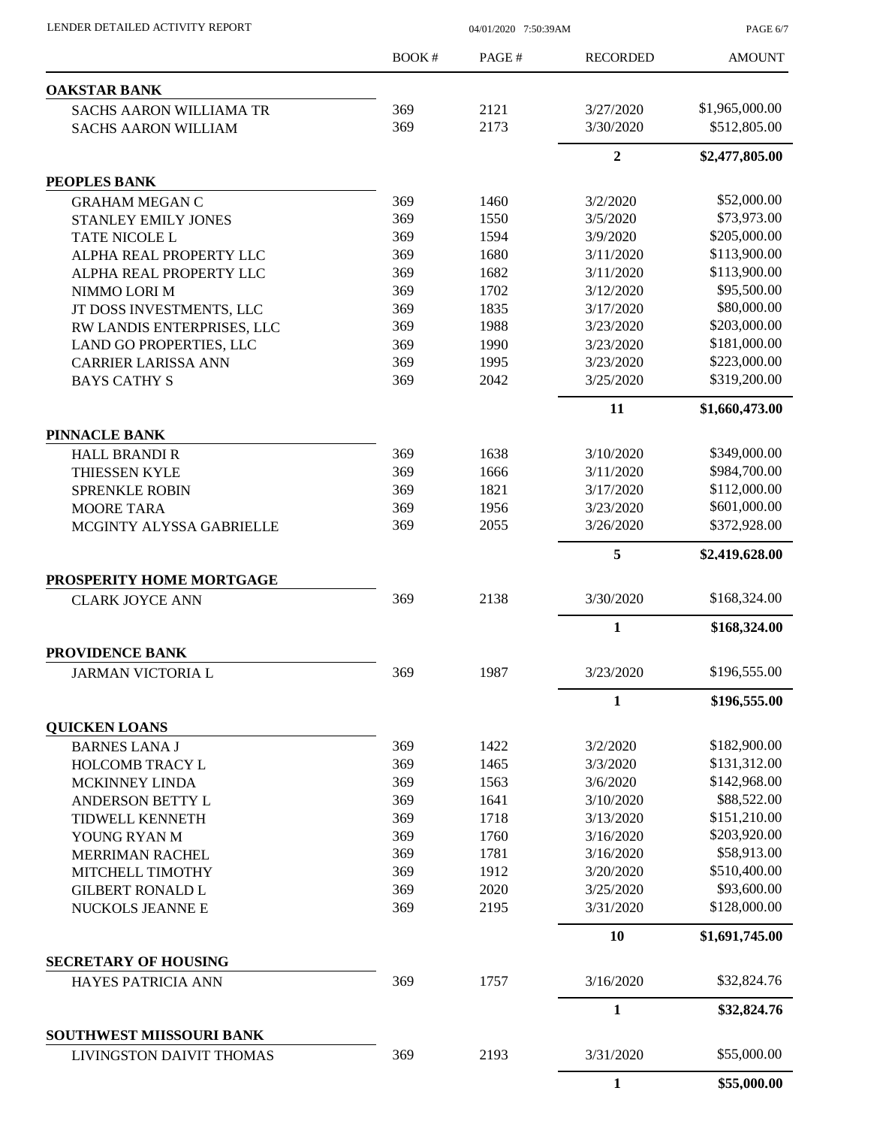| LENDER DETAILED ACTIVITY REPORT                          |       | 04/01/2020 7:50:39AM |                 |                |
|----------------------------------------------------------|-------|----------------------|-----------------|----------------|
|                                                          | BOOK# | PAGE#                | <b>RECORDED</b> | <b>AMOUNT</b>  |
| <b>OAKSTAR BANK</b>                                      |       |                      |                 |                |
| <b>SACHS AARON WILLIAMA TR</b>                           | 369   | 2121                 | 3/27/2020       | \$1,965,000.00 |
| <b>SACHS AARON WILLIAM</b>                               | 369   | 2173                 | 3/30/2020       | \$512,805.00   |
|                                                          |       |                      | $\overline{2}$  | \$2,477,805.00 |
| PEOPLES BANK                                             |       |                      |                 |                |
| <b>GRAHAM MEGAN C</b>                                    | 369   | 1460                 | 3/2/2020        | \$52,000.00    |
| <b>STANLEY EMILY JONES</b>                               | 369   | 1550                 | 3/5/2020        | \$73,973.00    |
| TATE NICOLE L                                            | 369   | 1594                 | 3/9/2020        | \$205,000.00   |
| ALPHA REAL PROPERTY LLC                                  | 369   | 1680                 | 3/11/2020       | \$113,900.00   |
| ALPHA REAL PROPERTY LLC                                  | 369   | 1682                 | 3/11/2020       | \$113,900.00   |
| NIMMO LORI M                                             | 369   | 1702                 | 3/12/2020       | \$95,500.00    |
| JT DOSS INVESTMENTS, LLC                                 | 369   | 1835                 | 3/17/2020       | \$80,000.00    |
| RW LANDIS ENTERPRISES, LLC                               | 369   | 1988                 | 3/23/2020       | \$203,000.00   |
| LAND GO PROPERTIES, LLC                                  | 369   | 1990                 | 3/23/2020       | \$181,000.00   |
| <b>CARRIER LARISSA ANN</b>                               | 369   | 1995                 | 3/23/2020       | \$223,000.00   |
| <b>BAYS CATHY S</b>                                      | 369   | 2042                 | 3/25/2020       | \$319,200.00   |
|                                                          |       |                      | 11              | \$1,660,473.00 |
| PINNACLE BANK                                            |       |                      |                 |                |
| <b>HALL BRANDI R</b>                                     | 369   | 1638                 | 3/10/2020       | \$349,000.00   |
| THIESSEN KYLE                                            | 369   | 1666                 | 3/11/2020       | \$984,700.00   |
| <b>SPRENKLE ROBIN</b>                                    | 369   | 1821                 | 3/17/2020       | \$112,000.00   |
| <b>MOORE TARA</b>                                        | 369   | 1956                 | 3/23/2020       | \$601,000.00   |
| MCGINTY ALYSSA GABRIELLE                                 | 369   | 2055                 | 3/26/2020       | \$372,928.00   |
|                                                          |       |                      | 5               | \$2,419,628.00 |
| PROSPERITY HOME MORTGAGE                                 |       |                      |                 | \$168,324.00   |
| <b>CLARK JOYCE ANN</b>                                   | 369   | 2138                 | 3/30/2020       |                |
|                                                          |       |                      | $\mathbf{1}$    | \$168,324.00   |
| <b>PROVIDENCE BANK</b>                                   |       |                      |                 | \$196,555.00   |
| <b>JARMAN VICTORIA L</b>                                 | 369   | 1987                 | 3/23/2020       |                |
|                                                          |       |                      | $\mathbf{1}$    | \$196,555.00   |
| <b>QUICKEN LOANS</b><br><b>BARNES LANA J</b>             | 369   | 1422                 | 3/2/2020        | \$182,900.00   |
| HOLCOMB TRACY L                                          | 369   | 1465                 | 3/3/2020        | \$131,312.00   |
| MCKINNEY LINDA                                           | 369   | 1563                 | 3/6/2020        | \$142,968.00   |
| ANDERSON BETTY L                                         | 369   | 1641                 | 3/10/2020       | \$88,522.00    |
| <b>TIDWELL KENNETH</b>                                   | 369   | 1718                 | 3/13/2020       | \$151,210.00   |
| YOUNG RYAN M                                             | 369   | 1760                 | 3/16/2020       | \$203,920.00   |
| <b>MERRIMAN RACHEL</b>                                   | 369   | 1781                 | 3/16/2020       | \$58,913.00    |
| MITCHELL TIMOTHY                                         | 369   | 1912                 | 3/20/2020       | \$510,400.00   |
| <b>GILBERT RONALD L</b>                                  | 369   | 2020                 | 3/25/2020       | \$93,600.00    |
| NUCKOLS JEANNE E                                         | 369   | 2195                 | 3/31/2020       | \$128,000.00   |
|                                                          |       |                      |                 |                |
|                                                          |       |                      | 10              | \$1,691,745.00 |
| <b>SECRETARY OF HOUSING</b><br><b>HAYES PATRICIA ANN</b> | 369   | 1757                 | 3/16/2020       | \$32,824.76    |
|                                                          |       |                      | $\mathbf{1}$    | \$32,824.76    |
| SOUTHWEST MIISSOURI BANK                                 |       |                      |                 |                |
| LIVINGSTON DAIVIT THOMAS                                 | 369   | 2193                 | 3/31/2020       | \$55,000.00    |
|                                                          |       |                      | $\mathbf{1}$    | \$55,000.00    |